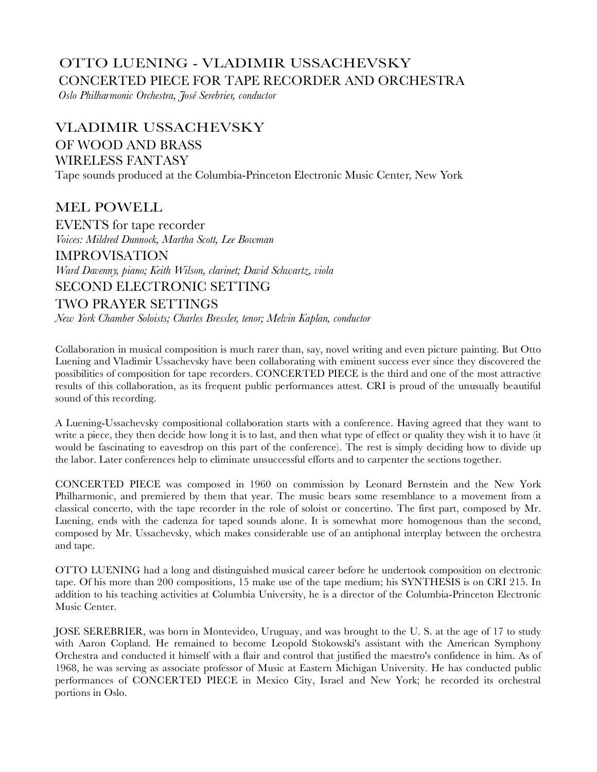# OTTO LUENING - VLADIMIR USSACHEVSKY CONCERTED PIECE FOR TAPE RECORDER AND ORCHESTRA

 *Oslo Philharmonic Orchestra, José Serebrier, conductor*

## VLADIMIR USSACHEVSKY OF WOOD AND BRASS WIRELESS FANTASY Tape sounds produced at the Columbia-Princeton Electronic Music Center, New York

## MEL POWELL

EVENTS for tape recorder *Voices: Mildred Dunnock, Martha Scott, Lee Bowman*

#### IMPROVISATION

*Ward Davenny, piano; Keith Wilson, clarinet; David Schwartz, viola*

### SECOND ELECTRONIC SETTING

### TWO PRAYER SETTINGS

*New York Chamber Soloists; Charles Bressler, tenor; Melvin Kaplan, conductor*

Collaboration in musical composition is much rarer than, say, novel writing and even picture painting. But Otto Luening and Vladimir Ussachevsky have been collaborating with eminent success ever since they discovered the possibilities of composition for tape recorders. CONCERTED PIECE is the third and one of the most attractive results of this collaboration, as its frequent public performances attest. CRI is proud of the unusually beautiful sound of this recording.

A Luening-Ussachevsky compositional collaboration starts with a conference. Having agreed that they want to write a piece, they then decide how long it is to last, and then what type of effect or quality they wish it to have (it would be fascinating to eavesdrop on this part of the conference). The rest is simply deciding how to divide up the labor. Later conferences help to eliminate unsuccessful efforts and to carpenter the sections together.

CONCERTED PIECE was composed in 1960 on commission by Leonard Bernstein and the New York Philharmonic, and premiered by them that year. The music bears some resemblance to a movement from a classical concerto, with the tape recorder in the role of soloist or concertino. The first part, composed by Mr. Luening, ends with the cadenza for taped sounds alone. It is somewhat more homogenous than the second, composed by Mr. Ussachevsky, which makes considerable use of an antiphonal interplay between the orchestra and tape.

OTTO LUENING had a long and distinguished musical career before he undertook composition on electronic tape. Of his more than 200 compositions, 15 make use of the tape medium; his SYNTHESIS is on CRI 215. In addition to his teaching activities at Columbia University, he is a director of the Columbia-Princeton Electronic Music Center.

JOSE SEREBRIER, was born in Montevideo, Uruguay, and was brought to the U. S. at the age of 17 to study with Aaron Copland. He remained to become Leopold Stokowski's assistant with the American Symphony Orchestra and conducted it himself with a flair and control that justified the maestro's confidence in him. As of 1968, he was serving as associate professor of Music at Eastern Michigan University. He has conducted public performances of CONCERTED PIECE in Mexico City, Israel and New York; he recorded its orchestral portions in Oslo.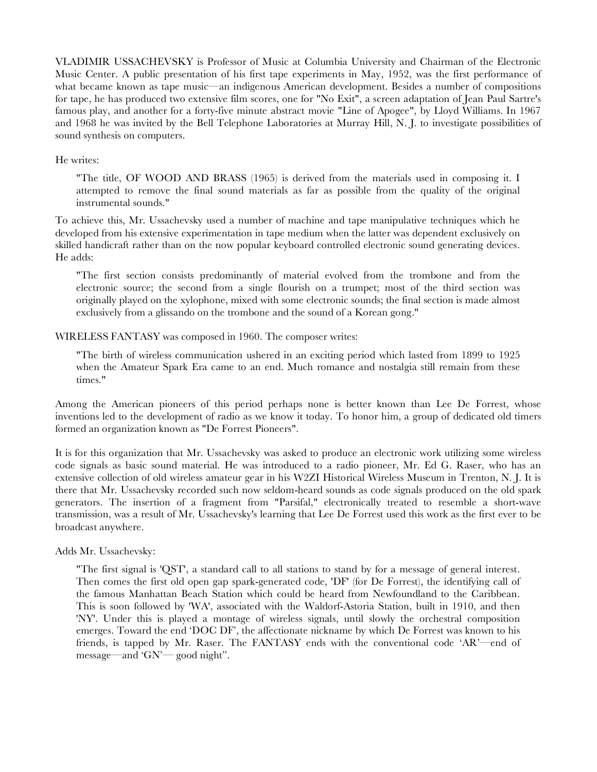VLADIMIR USSACHEVSKY is Professor of Music at Columbia University and Chairman of the Electronic Music Center. A public presentation of his first tape experiments in May, 1952, was the first performance of what became known as tape music—an indigenous American development. Besides a number of compositions for tape, he has produced two extensive film scores, one for "No Exit", a screen adaptation of Jean Paul Sartre's famous play, and another for a forty-five minute abstract movie "Line of Apogee", by Lloyd Williams. In 1967 and 1968 he was invited by the Bell Telephone Laboratories at Murray Hill, N. J. to investigate possibilities of sound synthesis on computers.

#### He writes:

"The title, OF WOOD AND BRASS (1965) is derived from the materials used in composing it. I attempted to remove the final sound materials as far as possible from the quality of the original instrumental sounds."

To achieve this, Mr. Ussachevsky used a number of machine and tape manipulative techniques which he developed from his extensive experimentation in tape medium when the latter was dependent exclusively on skilled handicraft rather than on the now popular keyboard controlled electronic sound generating devices. He adds:

"The first section consists predominantly of material evolved from the trombone and from the electronic source; the second from a single flourish on a trumpet; most of the third section was originally played on the xylophone, mixed with some electronic sounds; the final section is made almost exclusively from a glissando on the trombone and the sound of a Korean gong."

WIRELESS FANTASY was composed in 1960. The composer writes:

"The birth of wireless communication ushered in an exciting period which lasted from 1899 to 1925 when the Amateur Spark Era came to an end. Much romance and nostalgia still remain from these times."

Among the American pioneers of this period perhaps none is better known than Lee De Forrest, whose inventions led to the development of radio as we know it today. To honor him, a group of dedicated old timers formed an organization known as "De Forrest Pioneers".

It is for this organization that Mr. Ussachevsky was asked to produce an electronic work utilizing some wireless code signals as basic sound material. He was introduced to a radio pioneer, Mr. Ed G. Raser, who has an extensive collection of old wireless amateur gear in his W2ZI Historical Wireless Museum in Trenton, N. J. It is there that Mr. Ussachevsky recorded such now seldom-heard sounds as code signals produced on the old spark generators. The insertion of a fragment from "Parsifal," electronically treated to resemble a short-wave transmission, was a result of Mr. Ussachevsky's learning that Lee De Forrest used this work as the first ever to be broadcast anywhere.

#### Adds Mr. Ussachevsky:

"The first signal is 'QST', a standard call to all stations to stand by for a message of general interest. Then comes the first old open gap spark-generated code, 'DF' (for De Forrest), the identifying call of the famous Manhattan Beach Station which could be heard from Newfoundland to the Caribbean. This is soon followed by 'WA', associated with the Waldorf-Astoria Station, built in 1910, and then 'NY'. Under this is played a montage of wireless signals, until slowly the orchestral composition emerges. Toward the end 'DOC DF', the affectionate nickname by which De Forrest was known to his friends, is tapped by Mr. Raser. The FANTASY ends with the conventional code 'AR'—end of message—and 'GN'— good night".